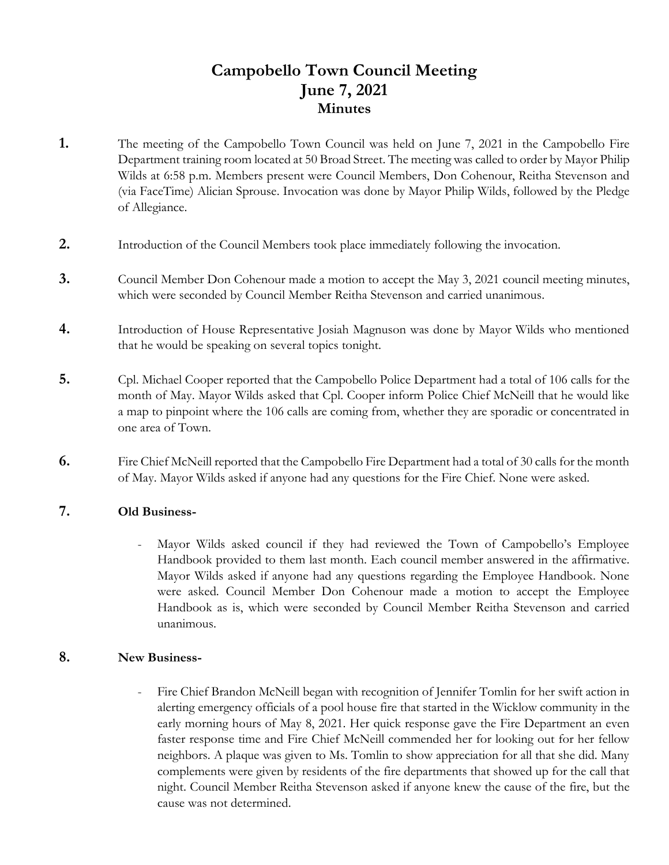# **Campobello Town Council Meeting June 7, 2021 Minutes**

- **1.** The meeting of the Campobello Town Council was held on June 7, 2021 in the Campobello Fire Department training room located at 50 Broad Street. The meeting was called to order by Mayor Philip Wilds at 6:58 p.m. Members present were Council Members, Don Cohenour, Reitha Stevenson and (via FaceTime) Alician Sprouse. Invocation was done by Mayor Philip Wilds, followed by the Pledge of Allegiance.
- **2.** Introduction of the Council Members took place immediately following the invocation.
- **3.** Council Member Don Cohenour made a motion to accept the May 3, 2021 council meeting minutes, which were seconded by Council Member Reitha Stevenson and carried unanimous.
- **4.** Introduction of House Representative Josiah Magnuson was done by Mayor Wilds who mentioned that he would be speaking on several topics tonight.
- **5.** Cpl. Michael Cooper reported that the Campobello Police Department had a total of 106 calls for the month of May. Mayor Wilds asked that Cpl. Cooper inform Police Chief McNeill that he would like a map to pinpoint where the 106 calls are coming from, whether they are sporadic or concentrated in one area of Town.
- **6.** Fire Chief McNeill reported that the Campobello Fire Department had a total of 30 calls for the month of May. Mayor Wilds asked if anyone had any questions for the Fire Chief. None were asked.

#### **7. Old Business-**

Mayor Wilds asked council if they had reviewed the Town of Campobello's Employee Handbook provided to them last month. Each council member answered in the affirmative. Mayor Wilds asked if anyone had any questions regarding the Employee Handbook. None were asked. Council Member Don Cohenour made a motion to accept the Employee Handbook as is, which were seconded by Council Member Reitha Stevenson and carried unanimous.

#### **8. New Business-**

Fire Chief Brandon McNeill began with recognition of Jennifer Tomlin for her swift action in alerting emergency officials of a pool house fire that started in the Wicklow community in the early morning hours of May 8, 2021. Her quick response gave the Fire Department an even faster response time and Fire Chief McNeill commended her for looking out for her fellow neighbors. A plaque was given to Ms. Tomlin to show appreciation for all that she did. Many complements were given by residents of the fire departments that showed up for the call that night. Council Member Reitha Stevenson asked if anyone knew the cause of the fire, but the cause was not determined.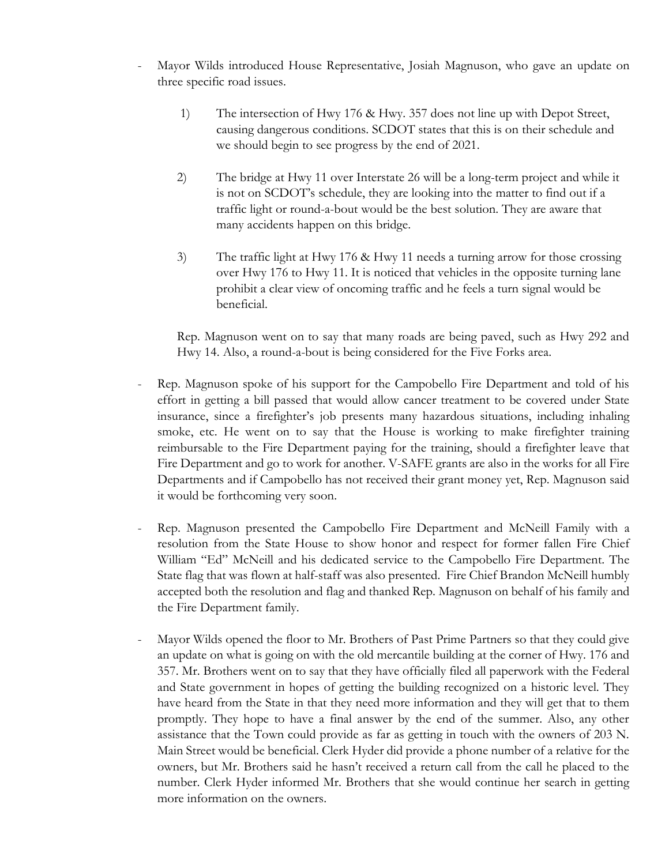- Mayor Wilds introduced House Representative, Josiah Magnuson, who gave an update on three specific road issues.
	- 1) The intersection of Hwy 176 & Hwy. 357 does not line up with Depot Street, causing dangerous conditions. SCDOT states that this is on their schedule and we should begin to see progress by the end of 2021.
	- 2) The bridge at Hwy 11 over Interstate 26 will be a long-term project and while it is not on SCDOT's schedule, they are looking into the matter to find out if a traffic light or round-a-bout would be the best solution. They are aware that many accidents happen on this bridge.
	- 3) The traffic light at Hwy 176 & Hwy 11 needs a turning arrow for those crossing over Hwy 176 to Hwy 11. It is noticed that vehicles in the opposite turning lane prohibit a clear view of oncoming traffic and he feels a turn signal would be beneficial.

Rep. Magnuson went on to say that many roads are being paved, such as Hwy 292 and Hwy 14. Also, a round-a-bout is being considered for the Five Forks area.

- Rep. Magnuson spoke of his support for the Campobello Fire Department and told of his effort in getting a bill passed that would allow cancer treatment to be covered under State insurance, since a firefighter's job presents many hazardous situations, including inhaling smoke, etc. He went on to say that the House is working to make firefighter training reimbursable to the Fire Department paying for the training, should a firefighter leave that Fire Department and go to work for another. V-SAFE grants are also in the works for all Fire Departments and if Campobello has not received their grant money yet, Rep. Magnuson said it would be forthcoming very soon.
- Rep. Magnuson presented the Campobello Fire Department and McNeill Family with a resolution from the State House to show honor and respect for former fallen Fire Chief William "Ed" McNeill and his dedicated service to the Campobello Fire Department. The State flag that was flown at half-staff was also presented. Fire Chief Brandon McNeill humbly accepted both the resolution and flag and thanked Rep. Magnuson on behalf of his family and the Fire Department family.
- Mayor Wilds opened the floor to Mr. Brothers of Past Prime Partners so that they could give an update on what is going on with the old mercantile building at the corner of Hwy. 176 and 357. Mr. Brothers went on to say that they have officially filed all paperwork with the Federal and State government in hopes of getting the building recognized on a historic level. They have heard from the State in that they need more information and they will get that to them promptly. They hope to have a final answer by the end of the summer. Also, any other assistance that the Town could provide as far as getting in touch with the owners of 203 N. Main Street would be beneficial. Clerk Hyder did provide a phone number of a relative for the owners, but Mr. Brothers said he hasn't received a return call from the call he placed to the number. Clerk Hyder informed Mr. Brothers that she would continue her search in getting more information on the owners.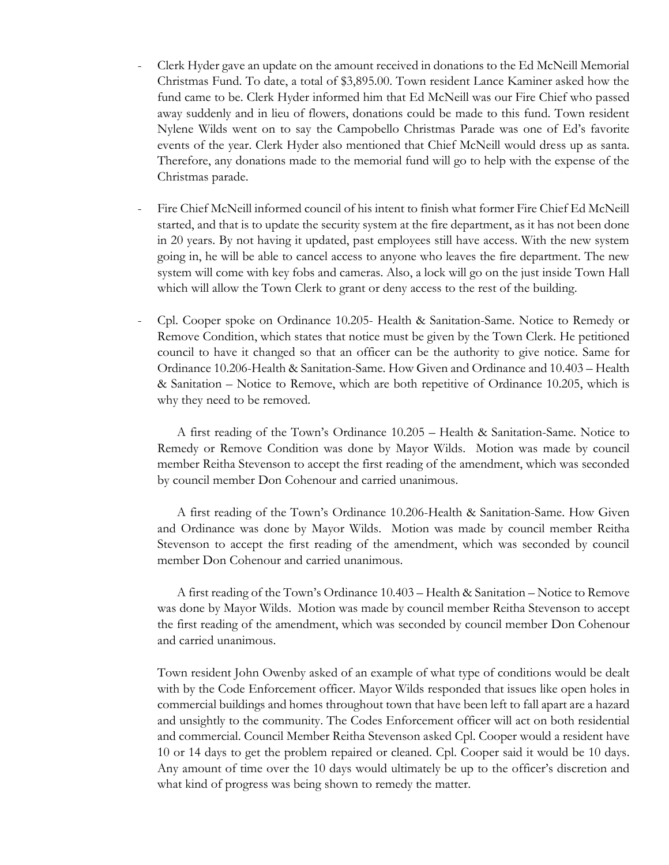- Clerk Hyder gave an update on the amount received in donations to the Ed McNeill Memorial Christmas Fund. To date, a total of \$3,895.00. Town resident Lance Kaminer asked how the fund came to be. Clerk Hyder informed him that Ed McNeill was our Fire Chief who passed away suddenly and in lieu of flowers, donations could be made to this fund. Town resident Nylene Wilds went on to say the Campobello Christmas Parade was one of Ed's favorite events of the year. Clerk Hyder also mentioned that Chief McNeill would dress up as santa. Therefore, any donations made to the memorial fund will go to help with the expense of the Christmas parade.
- Fire Chief McNeill informed council of his intent to finish what former Fire Chief Ed McNeill started, and that is to update the security system at the fire department, as it has not been done in 20 years. By not having it updated, past employees still have access. With the new system going in, he will be able to cancel access to anyone who leaves the fire department. The new system will come with key fobs and cameras. Also, a lock will go on the just inside Town Hall which will allow the Town Clerk to grant or deny access to the rest of the building.
- Cpl. Cooper spoke on Ordinance 10.205- Health & Sanitation-Same. Notice to Remedy or Remove Condition, which states that notice must be given by the Town Clerk. He petitioned council to have it changed so that an officer can be the authority to give notice. Same for Ordinance 10.206-Health & Sanitation-Same. How Given and Ordinance and 10.403 – Health & Sanitation – Notice to Remove, which are both repetitive of Ordinance 10.205, which is why they need to be removed.

A first reading of the Town's Ordinance 10.205 – Health & Sanitation-Same. Notice to Remedy or Remove Condition was done by Mayor Wilds. Motion was made by council member Reitha Stevenson to accept the first reading of the amendment, which was seconded by council member Don Cohenour and carried unanimous.

A first reading of the Town's Ordinance 10.206-Health & Sanitation-Same. How Given and Ordinance was done by Mayor Wilds. Motion was made by council member Reitha Stevenson to accept the first reading of the amendment, which was seconded by council member Don Cohenour and carried unanimous.

A first reading of the Town's Ordinance 10.403 – Health & Sanitation – Notice to Remove was done by Mayor Wilds. Motion was made by council member Reitha Stevenson to accept the first reading of the amendment, which was seconded by council member Don Cohenour and carried unanimous.

Town resident John Owenby asked of an example of what type of conditions would be dealt with by the Code Enforcement officer. Mayor Wilds responded that issues like open holes in commercial buildings and homes throughout town that have been left to fall apart are a hazard and unsightly to the community. The Codes Enforcement officer will act on both residential and commercial. Council Member Reitha Stevenson asked Cpl. Cooper would a resident have 10 or 14 days to get the problem repaired or cleaned. Cpl. Cooper said it would be 10 days. Any amount of time over the 10 days would ultimately be up to the officer's discretion and what kind of progress was being shown to remedy the matter.